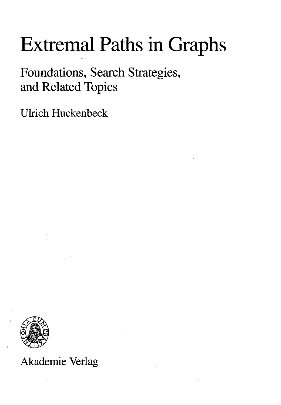## Extremal Paths in Graphs

Foundations, Search Strategies, and Related Topics

Ulrich Huckenbeck



## Akademie Verlag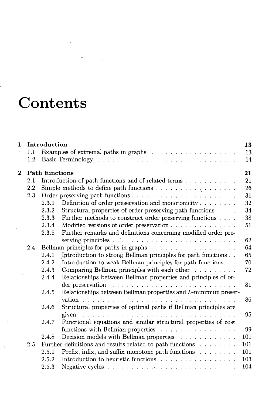## **Contents**

í

| 1              |         | Introduction                                                                                | 13  |
|----------------|---------|---------------------------------------------------------------------------------------------|-----|
|                | 1.1     |                                                                                             | 13  |
|                | $1.2\,$ |                                                                                             | 14  |
| $\overline{2}$ |         | <b>Path functions</b>                                                                       | 21  |
|                | 2.1     | Introduction of path functions and of related terms                                         | 21  |
|                | 2.2     | Simple methods to define path functions                                                     | 26  |
|                | 2.3     |                                                                                             | 31  |
|                |         | Definition of order preservation and monotonicity<br>2.3.1                                  | 32  |
|                |         | Structural properties of order preserving path functions<br>2.3.2                           | 34  |
|                |         | Further methods to construct order preserving functions<br>2.3.3                            | 38  |
|                |         | Modified versions of order preservation<br>2.3.4                                            | 51  |
|                |         | Further remarks and definitions concerning modified order pre-<br>2.3.5                     |     |
|                |         |                                                                                             | 62  |
|                | 2.4     |                                                                                             | 64  |
|                |         | Introduction to strong Bellman principles for path functions<br>2.4.1                       | 65  |
|                |         | Introduction to weak Bellman principles for path functions<br>2.4.2                         | 70  |
|                |         | Comparing Bellman principles with each other<br>2.4.3                                       | 72  |
|                |         | Relationships between Bellman properties and principles of or-<br>2.4.4                     |     |
|                |         |                                                                                             | 81  |
|                |         | 2.4.5<br>Relationships between Bellman properties and L-minimum preser-                     |     |
|                |         |                                                                                             | 86  |
|                |         | Structural properties of optimal paths if Bellman principles are<br>2.4.6                   |     |
|                |         | given $\ldots \ldots \ldots \ldots \ldots \ldots \ldots \ldots \ldots \ldots \ldots \ldots$ | 95  |
|                |         | Functional equations and similar structural properties of cost<br>2.4.7                     |     |
|                |         | functions with Bellman properties                                                           | 99  |
|                |         | Decision models with Bellman properties<br>2.4.8                                            | 101 |
|                | 2.5     | Further definitions and results related to path functions $\ldots \ldots$                   | 101 |
|                |         | Prefix, infix, and suffix monotone path functions $\ldots \ldots$<br>2.5.1                  | 101 |
|                |         | Introduction to heuristic functions<br>2.5.2                                                | 103 |
|                |         | 2.5.3                                                                                       | 104 |
|                |         |                                                                                             |     |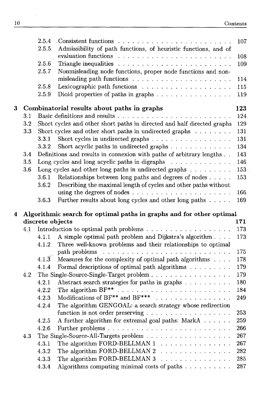$\bar{\mathbf{v}}$ 

|   |                                                                      | 2.5.4              |                                                                                              | 107 |  |  |  |
|---|----------------------------------------------------------------------|--------------------|----------------------------------------------------------------------------------------------|-----|--|--|--|
|   |                                                                      | 2.5.5              | Admissibility of path functions, of heuristic functions, and of                              |     |  |  |  |
|   |                                                                      |                    |                                                                                              | 108 |  |  |  |
|   |                                                                      | 2.5.6              | Triangle inequalities $\ldots \ldots \ldots \ldots \ldots \ldots \ldots \ldots$              | 109 |  |  |  |
|   |                                                                      | 2.5.7              | Nonmisleading node functions, proper node functions and non-                                 |     |  |  |  |
|   |                                                                      |                    |                                                                                              | 114 |  |  |  |
|   |                                                                      | 2.5.8              |                                                                                              | 115 |  |  |  |
|   |                                                                      | 2.5.9              | Dioid properties of paths in graphs                                                          | 119 |  |  |  |
| 3 |                                                                      |                    | Combinatorial results about paths in graphs                                                  | 123 |  |  |  |
|   | 3.1                                                                  |                    |                                                                                              | 124 |  |  |  |
|   | $3.2\,$                                                              |                    | Short cycles and other short paths in directed and half directed graphs                      | 129 |  |  |  |
|   | 3.3                                                                  |                    | Short cycles and other short paths in undirected graphs                                      | 131 |  |  |  |
|   |                                                                      | 3.3.1              | Short cycles in undirected graphs                                                            | 131 |  |  |  |
|   |                                                                      | 3.3.2              |                                                                                              | 134 |  |  |  |
|   | 3.4                                                                  |                    | Definitions and results in connexion with paths of arbitrary lengths                         | 143 |  |  |  |
|   | $3.5\,$                                                              |                    | Long cycles and long acyclic paths in digraphs $\ldots \ldots \ldots \ldots$                 | 146 |  |  |  |
|   | 3.6                                                                  |                    | Long cycles and other long paths in undirected graphs $\ldots \ldots \ldots$                 | 153 |  |  |  |
|   |                                                                      | 3.6.1              | Relationships between long paths and degrees of nodes                                        | 153 |  |  |  |
|   |                                                                      | 3.6.2              | Describing the maximal length of cycles and other paths without                              |     |  |  |  |
|   |                                                                      |                    |                                                                                              | 166 |  |  |  |
|   |                                                                      | 3.6.3              | Further results about long cycles and other long paths                                       | 169 |  |  |  |
| 4 | Algorithmic search for optimal paths in graphs and for other optimal |                    |                                                                                              |     |  |  |  |
|   |                                                                      | discrete objects   |                                                                                              | 171 |  |  |  |
|   | 4.1                                                                  |                    |                                                                                              | 173 |  |  |  |
|   |                                                                      | 4.1.1              | A simple optimal path problem and Dijkstra's algorithm                                       | 173 |  |  |  |
|   |                                                                      | 4.1.2              | Three well-known problems and their relationships to optimal                                 |     |  |  |  |
|   |                                                                      |                    |                                                                                              | 175 |  |  |  |
|   |                                                                      | $4.1.\overline{3}$ | Measures for the complexity of optimal path algorithms                                       | 178 |  |  |  |
|   |                                                                      |                    |                                                                                              |     |  |  |  |
|   |                                                                      | 4.1.4              | Formal descriptions of optimal path algorithms $\ldots \ldots \ldots$                        | 179 |  |  |  |
|   | 4.2                                                                  |                    |                                                                                              | 179 |  |  |  |
|   |                                                                      | 4.2.1              | Abstract search strategies for paths in graphs                                               | 180 |  |  |  |
|   |                                                                      | 4.2.2              |                                                                                              | 184 |  |  |  |
|   |                                                                      | 4.2.3              | Modifications of BF <sup>**</sup> and BF <sup>***</sup> $\ldots \ldots \ldots \ldots \ldots$ | 249 |  |  |  |
|   |                                                                      | 4.2.4              | The algorithm GENGOAL: a search strategy whose redirection                                   |     |  |  |  |
|   |                                                                      |                    |                                                                                              | 253 |  |  |  |
|   |                                                                      | 4.2.5              | A further algorithm for extremal goal paths: MarkA                                           | 259 |  |  |  |
|   |                                                                      | 4.2.6              |                                                                                              | 266 |  |  |  |
|   | 4.3                                                                  |                    |                                                                                              | 267 |  |  |  |
|   |                                                                      | 4.3.1              | The algorithm FORD-BELLMAN 1<br>. <i>.</i> .                                                 | 267 |  |  |  |
|   |                                                                      | 4.3.2              | The algorithm FORD-BELLMAN 2<br>.                                                            | 282 |  |  |  |
|   |                                                                      | 4.3.3              | The algorithm FORD-BELLMAN 3<br>.<br>Algorithms computing minimal costs of paths             | 285 |  |  |  |

 $\sim 10^{-1}$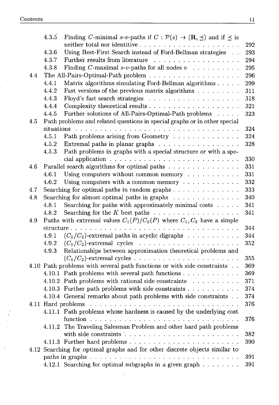$\pm$ 

|     | 4.3.5      | Finding C-minimal s-v-paths if $C : \mathcal{P}(s) \to (\mathbf{R}, \preceq)$ and if $\preceq$ is |     |
|-----|------------|---------------------------------------------------------------------------------------------------|-----|
|     |            |                                                                                                   | 292 |
|     | 4.3.6      | Using Best-First Search instead of Ford-Bellman strategies                                        | 293 |
|     | 4.3.7      | Further results from literature                                                                   | 294 |
|     | 4.3.8      | Finding C-maximal s-v-paths for all nodes $v \dots \dots \dots$                                   | 295 |
| 4.4 |            |                                                                                                   | 296 |
|     | 4.4.1      | Matrix algorithms simulating Ford-Bellman algorithms                                              | 299 |
|     | 4.4.2      | Fast versions of the previous matrix algorithms                                                   | 311 |
|     | 4.4.3      |                                                                                                   | 318 |
|     | 4.4.4      |                                                                                                   | 321 |
|     | 4.4.5      | Further solutions of All-Pairs-Optimal-Path problems                                              | 323 |
| 4.5 |            | Path problems and related questions in special graphs or in other special                         |     |
|     | situations |                                                                                                   | 324 |
|     | 4.5.1      | Path problems arising from Geometry                                                               | 324 |
|     | 4.5.2      | Extremal paths in planar graphs $\ldots \ldots \ldots \ldots \ldots$                              | 328 |
|     | 4.5.3      | Path problems in graphs with a special structure or with a spe-                                   |     |
|     |            |                                                                                                   | 330 |
| 4.6 |            | Parallel search algorithms for optimal paths                                                      | 331 |
|     | 4.6.1      | Using computers without common memory                                                             | 331 |
|     | 4.6.2      | Using computers with a common memory $\ldots \ldots \ldots \ldots$                                | 332 |
| 4.7 |            | Searching for optimal paths in random graphs $\ldots$ ,                                           | 333 |
| 4.8 |            | Searching for almost optimal paths in graphs $\ldots \ldots \ldots \ldots$                        | 340 |
|     | 4.8.1      | Searching for paths with approximately minimal costs                                              | 341 |
|     | 4.8.2      | Searching for the $K$ best paths $\ldots \ldots \ldots \ldots \ldots \ldots$                      | 341 |
| 4.9 |            | Paths with extremal values $C_1(P)/C_2(P)$ where $C_1, C_2$ have a simple                         |     |
|     |            |                                                                                                   | 344 |
|     | 4.9.1      | $(C_1/C_2)$ -extremal paths in acyclic digraphs $\ldots \ldots \ldots$                            | 344 |
|     | 4.9.2      |                                                                                                   | 352 |
|     | 4.9.3      | Relationships between approximation theoretical problems and                                      |     |
|     |            |                                                                                                   | 355 |
|     |            | 4.10 Path problems with several path functions or with side constraints                           | 369 |
|     |            | 4.10.1 Path problems with several path functions                                                  | 369 |
|     |            | 4.10.2 Path problems with rational side constraints                                               | 371 |
|     |            | 4.10.3 Further path problems with side constraints                                                | 374 |
|     |            | 4.10.4 General remarks about path problems with side constraints                                  | 374 |
|     |            | 4.11 Hard problems                                                                                | 376 |
|     |            | 4.11.1 Path problems whose hardness is caused by the underlying cost                              |     |
|     |            |                                                                                                   | 376 |
|     |            | 4.11.2 The Traveling Salesman Problem and other hard path problems                                |     |
|     |            |                                                                                                   | 382 |
|     |            |                                                                                                   | 390 |
|     |            | 4.12 Searching for optimal graphs and for other discrete objects similar to                       |     |
|     |            |                                                                                                   | 391 |
|     |            | 4.12.1 Searching for optimal subgraphs in a given graph                                           | 391 |
|     |            |                                                                                                   |     |

 $\sim 10^{-10}$